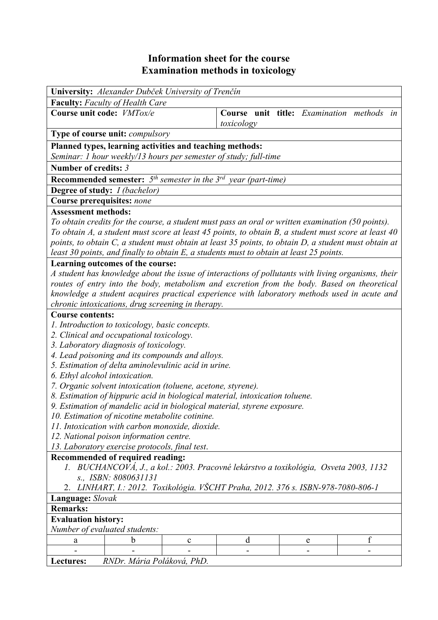## **Information sheet for the course Examination methods in toxicology**

| <b>Faculty:</b> Faculty of Health Care<br>Course unit code: VMTox/e<br>Course unit title: Examination methods in<br>toxicology<br>Type of course unit: <i>compulsory</i><br>Planned types, learning activities and teaching methods:<br>Seminar: 1 hour weekly/13 hours per semester of study; full-time<br>Number of credits: 3<br><b>Recommended semester:</b> $5th$ semester in the $3rd$ year (part-time)<br>Degree of study: I (bachelor)<br>Course prerequisites: none<br><b>Assessment methods:</b><br>To obtain credits for the course, a student must pass an oral or written examination (50 points).<br>To obtain A, a student must score at least 45 points, to obtain B, a student must score at least 40<br>points, to obtain C, a student must obtain at least 35 points, to obtain D, a student must obtain at<br>least 30 points, and finally to obtain E, a students must to obtain at least 25 points.<br>Learning outcomes of the course:<br>A student has knowledge about the issue of interactions of pollutants with living organisms, their<br>routes of entry into the body, metabolism and excretion from the body. Based on theoretical<br>knowledge a student acquires practical experience with laboratory methods used in acute and<br>chronic intoxications, drug screening in therapy.<br><b>Course contents:</b><br>1. Introduction to toxicology, basic concepts.<br>2. Clinical and occupational toxicology.<br>3. Laboratory diagnosis of toxicology.<br>4. Lead poisoning and its compounds and alloys.<br>5. Estimation of delta aminolevulinic acid in urine.<br>6. Ethyl alcohol intoxication.<br>7. Organic solvent intoxication (toluene, acetone, styrene).<br>8. Estimation of hippuric acid in biological material, intoxication toluene.<br>9. Estimation of mandelic acid in biological material, styrene exposure.<br>10. Estimation of nicotine metabolite cotinine.<br>11. Intoxication with carbon monoxide, dioxide.<br>12. National poison information centre.<br>13. Laboratory exercise protocols, final test.<br>Recommended of required reading:<br>1. BUCHANCOVÁ, J., a kol.: 2003. Pracovné lekárstvo a toxikológia, Osveta 2003, 1132<br>s., ISBN: 8080631131<br>2. LINHART, I.: 2012. Toxikológia. VŠCHT Praha, 2012. 376 s. ISBN-978-7080-806-1<br>Language: Slovak<br><b>Remarks:</b> | University: Alexander Dubček University of Trenčín |  |  |  |  |  |
|------------------------------------------------------------------------------------------------------------------------------------------------------------------------------------------------------------------------------------------------------------------------------------------------------------------------------------------------------------------------------------------------------------------------------------------------------------------------------------------------------------------------------------------------------------------------------------------------------------------------------------------------------------------------------------------------------------------------------------------------------------------------------------------------------------------------------------------------------------------------------------------------------------------------------------------------------------------------------------------------------------------------------------------------------------------------------------------------------------------------------------------------------------------------------------------------------------------------------------------------------------------------------------------------------------------------------------------------------------------------------------------------------------------------------------------------------------------------------------------------------------------------------------------------------------------------------------------------------------------------------------------------------------------------------------------------------------------------------------------------------------------------------------------------------------------------------------------------------------------------------------------------------------------------------------------------------------------------------------------------------------------------------------------------------------------------------------------------------------------------------------------------------------------------------------------------------------------------------------------------------------------------------------------------------------------------------------------------------|----------------------------------------------------|--|--|--|--|--|
|                                                                                                                                                                                                                                                                                                                                                                                                                                                                                                                                                                                                                                                                                                                                                                                                                                                                                                                                                                                                                                                                                                                                                                                                                                                                                                                                                                                                                                                                                                                                                                                                                                                                                                                                                                                                                                                                                                                                                                                                                                                                                                                                                                                                                                                                                                                                                      |                                                    |  |  |  |  |  |
|                                                                                                                                                                                                                                                                                                                                                                                                                                                                                                                                                                                                                                                                                                                                                                                                                                                                                                                                                                                                                                                                                                                                                                                                                                                                                                                                                                                                                                                                                                                                                                                                                                                                                                                                                                                                                                                                                                                                                                                                                                                                                                                                                                                                                                                                                                                                                      |                                                    |  |  |  |  |  |
|                                                                                                                                                                                                                                                                                                                                                                                                                                                                                                                                                                                                                                                                                                                                                                                                                                                                                                                                                                                                                                                                                                                                                                                                                                                                                                                                                                                                                                                                                                                                                                                                                                                                                                                                                                                                                                                                                                                                                                                                                                                                                                                                                                                                                                                                                                                                                      |                                                    |  |  |  |  |  |
|                                                                                                                                                                                                                                                                                                                                                                                                                                                                                                                                                                                                                                                                                                                                                                                                                                                                                                                                                                                                                                                                                                                                                                                                                                                                                                                                                                                                                                                                                                                                                                                                                                                                                                                                                                                                                                                                                                                                                                                                                                                                                                                                                                                                                                                                                                                                                      |                                                    |  |  |  |  |  |
|                                                                                                                                                                                                                                                                                                                                                                                                                                                                                                                                                                                                                                                                                                                                                                                                                                                                                                                                                                                                                                                                                                                                                                                                                                                                                                                                                                                                                                                                                                                                                                                                                                                                                                                                                                                                                                                                                                                                                                                                                                                                                                                                                                                                                                                                                                                                                      |                                                    |  |  |  |  |  |
|                                                                                                                                                                                                                                                                                                                                                                                                                                                                                                                                                                                                                                                                                                                                                                                                                                                                                                                                                                                                                                                                                                                                                                                                                                                                                                                                                                                                                                                                                                                                                                                                                                                                                                                                                                                                                                                                                                                                                                                                                                                                                                                                                                                                                                                                                                                                                      |                                                    |  |  |  |  |  |
|                                                                                                                                                                                                                                                                                                                                                                                                                                                                                                                                                                                                                                                                                                                                                                                                                                                                                                                                                                                                                                                                                                                                                                                                                                                                                                                                                                                                                                                                                                                                                                                                                                                                                                                                                                                                                                                                                                                                                                                                                                                                                                                                                                                                                                                                                                                                                      |                                                    |  |  |  |  |  |
|                                                                                                                                                                                                                                                                                                                                                                                                                                                                                                                                                                                                                                                                                                                                                                                                                                                                                                                                                                                                                                                                                                                                                                                                                                                                                                                                                                                                                                                                                                                                                                                                                                                                                                                                                                                                                                                                                                                                                                                                                                                                                                                                                                                                                                                                                                                                                      |                                                    |  |  |  |  |  |
|                                                                                                                                                                                                                                                                                                                                                                                                                                                                                                                                                                                                                                                                                                                                                                                                                                                                                                                                                                                                                                                                                                                                                                                                                                                                                                                                                                                                                                                                                                                                                                                                                                                                                                                                                                                                                                                                                                                                                                                                                                                                                                                                                                                                                                                                                                                                                      |                                                    |  |  |  |  |  |
|                                                                                                                                                                                                                                                                                                                                                                                                                                                                                                                                                                                                                                                                                                                                                                                                                                                                                                                                                                                                                                                                                                                                                                                                                                                                                                                                                                                                                                                                                                                                                                                                                                                                                                                                                                                                                                                                                                                                                                                                                                                                                                                                                                                                                                                                                                                                                      |                                                    |  |  |  |  |  |
|                                                                                                                                                                                                                                                                                                                                                                                                                                                                                                                                                                                                                                                                                                                                                                                                                                                                                                                                                                                                                                                                                                                                                                                                                                                                                                                                                                                                                                                                                                                                                                                                                                                                                                                                                                                                                                                                                                                                                                                                                                                                                                                                                                                                                                                                                                                                                      |                                                    |  |  |  |  |  |
|                                                                                                                                                                                                                                                                                                                                                                                                                                                                                                                                                                                                                                                                                                                                                                                                                                                                                                                                                                                                                                                                                                                                                                                                                                                                                                                                                                                                                                                                                                                                                                                                                                                                                                                                                                                                                                                                                                                                                                                                                                                                                                                                                                                                                                                                                                                                                      |                                                    |  |  |  |  |  |
|                                                                                                                                                                                                                                                                                                                                                                                                                                                                                                                                                                                                                                                                                                                                                                                                                                                                                                                                                                                                                                                                                                                                                                                                                                                                                                                                                                                                                                                                                                                                                                                                                                                                                                                                                                                                                                                                                                                                                                                                                                                                                                                                                                                                                                                                                                                                                      |                                                    |  |  |  |  |  |
|                                                                                                                                                                                                                                                                                                                                                                                                                                                                                                                                                                                                                                                                                                                                                                                                                                                                                                                                                                                                                                                                                                                                                                                                                                                                                                                                                                                                                                                                                                                                                                                                                                                                                                                                                                                                                                                                                                                                                                                                                                                                                                                                                                                                                                                                                                                                                      |                                                    |  |  |  |  |  |
|                                                                                                                                                                                                                                                                                                                                                                                                                                                                                                                                                                                                                                                                                                                                                                                                                                                                                                                                                                                                                                                                                                                                                                                                                                                                                                                                                                                                                                                                                                                                                                                                                                                                                                                                                                                                                                                                                                                                                                                                                                                                                                                                                                                                                                                                                                                                                      |                                                    |  |  |  |  |  |
|                                                                                                                                                                                                                                                                                                                                                                                                                                                                                                                                                                                                                                                                                                                                                                                                                                                                                                                                                                                                                                                                                                                                                                                                                                                                                                                                                                                                                                                                                                                                                                                                                                                                                                                                                                                                                                                                                                                                                                                                                                                                                                                                                                                                                                                                                                                                                      |                                                    |  |  |  |  |  |
|                                                                                                                                                                                                                                                                                                                                                                                                                                                                                                                                                                                                                                                                                                                                                                                                                                                                                                                                                                                                                                                                                                                                                                                                                                                                                                                                                                                                                                                                                                                                                                                                                                                                                                                                                                                                                                                                                                                                                                                                                                                                                                                                                                                                                                                                                                                                                      |                                                    |  |  |  |  |  |
|                                                                                                                                                                                                                                                                                                                                                                                                                                                                                                                                                                                                                                                                                                                                                                                                                                                                                                                                                                                                                                                                                                                                                                                                                                                                                                                                                                                                                                                                                                                                                                                                                                                                                                                                                                                                                                                                                                                                                                                                                                                                                                                                                                                                                                                                                                                                                      |                                                    |  |  |  |  |  |
|                                                                                                                                                                                                                                                                                                                                                                                                                                                                                                                                                                                                                                                                                                                                                                                                                                                                                                                                                                                                                                                                                                                                                                                                                                                                                                                                                                                                                                                                                                                                                                                                                                                                                                                                                                                                                                                                                                                                                                                                                                                                                                                                                                                                                                                                                                                                                      |                                                    |  |  |  |  |  |
|                                                                                                                                                                                                                                                                                                                                                                                                                                                                                                                                                                                                                                                                                                                                                                                                                                                                                                                                                                                                                                                                                                                                                                                                                                                                                                                                                                                                                                                                                                                                                                                                                                                                                                                                                                                                                                                                                                                                                                                                                                                                                                                                                                                                                                                                                                                                                      |                                                    |  |  |  |  |  |
|                                                                                                                                                                                                                                                                                                                                                                                                                                                                                                                                                                                                                                                                                                                                                                                                                                                                                                                                                                                                                                                                                                                                                                                                                                                                                                                                                                                                                                                                                                                                                                                                                                                                                                                                                                                                                                                                                                                                                                                                                                                                                                                                                                                                                                                                                                                                                      |                                                    |  |  |  |  |  |
|                                                                                                                                                                                                                                                                                                                                                                                                                                                                                                                                                                                                                                                                                                                                                                                                                                                                                                                                                                                                                                                                                                                                                                                                                                                                                                                                                                                                                                                                                                                                                                                                                                                                                                                                                                                                                                                                                                                                                                                                                                                                                                                                                                                                                                                                                                                                                      |                                                    |  |  |  |  |  |
|                                                                                                                                                                                                                                                                                                                                                                                                                                                                                                                                                                                                                                                                                                                                                                                                                                                                                                                                                                                                                                                                                                                                                                                                                                                                                                                                                                                                                                                                                                                                                                                                                                                                                                                                                                                                                                                                                                                                                                                                                                                                                                                                                                                                                                                                                                                                                      |                                                    |  |  |  |  |  |
|                                                                                                                                                                                                                                                                                                                                                                                                                                                                                                                                                                                                                                                                                                                                                                                                                                                                                                                                                                                                                                                                                                                                                                                                                                                                                                                                                                                                                                                                                                                                                                                                                                                                                                                                                                                                                                                                                                                                                                                                                                                                                                                                                                                                                                                                                                                                                      |                                                    |  |  |  |  |  |
|                                                                                                                                                                                                                                                                                                                                                                                                                                                                                                                                                                                                                                                                                                                                                                                                                                                                                                                                                                                                                                                                                                                                                                                                                                                                                                                                                                                                                                                                                                                                                                                                                                                                                                                                                                                                                                                                                                                                                                                                                                                                                                                                                                                                                                                                                                                                                      |                                                    |  |  |  |  |  |
|                                                                                                                                                                                                                                                                                                                                                                                                                                                                                                                                                                                                                                                                                                                                                                                                                                                                                                                                                                                                                                                                                                                                                                                                                                                                                                                                                                                                                                                                                                                                                                                                                                                                                                                                                                                                                                                                                                                                                                                                                                                                                                                                                                                                                                                                                                                                                      |                                                    |  |  |  |  |  |
|                                                                                                                                                                                                                                                                                                                                                                                                                                                                                                                                                                                                                                                                                                                                                                                                                                                                                                                                                                                                                                                                                                                                                                                                                                                                                                                                                                                                                                                                                                                                                                                                                                                                                                                                                                                                                                                                                                                                                                                                                                                                                                                                                                                                                                                                                                                                                      |                                                    |  |  |  |  |  |
|                                                                                                                                                                                                                                                                                                                                                                                                                                                                                                                                                                                                                                                                                                                                                                                                                                                                                                                                                                                                                                                                                                                                                                                                                                                                                                                                                                                                                                                                                                                                                                                                                                                                                                                                                                                                                                                                                                                                                                                                                                                                                                                                                                                                                                                                                                                                                      |                                                    |  |  |  |  |  |
|                                                                                                                                                                                                                                                                                                                                                                                                                                                                                                                                                                                                                                                                                                                                                                                                                                                                                                                                                                                                                                                                                                                                                                                                                                                                                                                                                                                                                                                                                                                                                                                                                                                                                                                                                                                                                                                                                                                                                                                                                                                                                                                                                                                                                                                                                                                                                      |                                                    |  |  |  |  |  |
|                                                                                                                                                                                                                                                                                                                                                                                                                                                                                                                                                                                                                                                                                                                                                                                                                                                                                                                                                                                                                                                                                                                                                                                                                                                                                                                                                                                                                                                                                                                                                                                                                                                                                                                                                                                                                                                                                                                                                                                                                                                                                                                                                                                                                                                                                                                                                      |                                                    |  |  |  |  |  |
|                                                                                                                                                                                                                                                                                                                                                                                                                                                                                                                                                                                                                                                                                                                                                                                                                                                                                                                                                                                                                                                                                                                                                                                                                                                                                                                                                                                                                                                                                                                                                                                                                                                                                                                                                                                                                                                                                                                                                                                                                                                                                                                                                                                                                                                                                                                                                      |                                                    |  |  |  |  |  |
|                                                                                                                                                                                                                                                                                                                                                                                                                                                                                                                                                                                                                                                                                                                                                                                                                                                                                                                                                                                                                                                                                                                                                                                                                                                                                                                                                                                                                                                                                                                                                                                                                                                                                                                                                                                                                                                                                                                                                                                                                                                                                                                                                                                                                                                                                                                                                      |                                                    |  |  |  |  |  |
|                                                                                                                                                                                                                                                                                                                                                                                                                                                                                                                                                                                                                                                                                                                                                                                                                                                                                                                                                                                                                                                                                                                                                                                                                                                                                                                                                                                                                                                                                                                                                                                                                                                                                                                                                                                                                                                                                                                                                                                                                                                                                                                                                                                                                                                                                                                                                      |                                                    |  |  |  |  |  |
|                                                                                                                                                                                                                                                                                                                                                                                                                                                                                                                                                                                                                                                                                                                                                                                                                                                                                                                                                                                                                                                                                                                                                                                                                                                                                                                                                                                                                                                                                                                                                                                                                                                                                                                                                                                                                                                                                                                                                                                                                                                                                                                                                                                                                                                                                                                                                      |                                                    |  |  |  |  |  |
|                                                                                                                                                                                                                                                                                                                                                                                                                                                                                                                                                                                                                                                                                                                                                                                                                                                                                                                                                                                                                                                                                                                                                                                                                                                                                                                                                                                                                                                                                                                                                                                                                                                                                                                                                                                                                                                                                                                                                                                                                                                                                                                                                                                                                                                                                                                                                      |                                                    |  |  |  |  |  |
|                                                                                                                                                                                                                                                                                                                                                                                                                                                                                                                                                                                                                                                                                                                                                                                                                                                                                                                                                                                                                                                                                                                                                                                                                                                                                                                                                                                                                                                                                                                                                                                                                                                                                                                                                                                                                                                                                                                                                                                                                                                                                                                                                                                                                                                                                                                                                      |                                                    |  |  |  |  |  |
|                                                                                                                                                                                                                                                                                                                                                                                                                                                                                                                                                                                                                                                                                                                                                                                                                                                                                                                                                                                                                                                                                                                                                                                                                                                                                                                                                                                                                                                                                                                                                                                                                                                                                                                                                                                                                                                                                                                                                                                                                                                                                                                                                                                                                                                                                                                                                      |                                                    |  |  |  |  |  |
|                                                                                                                                                                                                                                                                                                                                                                                                                                                                                                                                                                                                                                                                                                                                                                                                                                                                                                                                                                                                                                                                                                                                                                                                                                                                                                                                                                                                                                                                                                                                                                                                                                                                                                                                                                                                                                                                                                                                                                                                                                                                                                                                                                                                                                                                                                                                                      |                                                    |  |  |  |  |  |
|                                                                                                                                                                                                                                                                                                                                                                                                                                                                                                                                                                                                                                                                                                                                                                                                                                                                                                                                                                                                                                                                                                                                                                                                                                                                                                                                                                                                                                                                                                                                                                                                                                                                                                                                                                                                                                                                                                                                                                                                                                                                                                                                                                                                                                                                                                                                                      | <b>Evaluation history:</b>                         |  |  |  |  |  |
| Number of evaluated students:                                                                                                                                                                                                                                                                                                                                                                                                                                                                                                                                                                                                                                                                                                                                                                                                                                                                                                                                                                                                                                                                                                                                                                                                                                                                                                                                                                                                                                                                                                                                                                                                                                                                                                                                                                                                                                                                                                                                                                                                                                                                                                                                                                                                                                                                                                                        |                                                    |  |  |  |  |  |
| f<br>b<br>d<br>$\mathbf c$<br>e<br>a                                                                                                                                                                                                                                                                                                                                                                                                                                                                                                                                                                                                                                                                                                                                                                                                                                                                                                                                                                                                                                                                                                                                                                                                                                                                                                                                                                                                                                                                                                                                                                                                                                                                                                                                                                                                                                                                                                                                                                                                                                                                                                                                                                                                                                                                                                                 |                                                    |  |  |  |  |  |
|                                                                                                                                                                                                                                                                                                                                                                                                                                                                                                                                                                                                                                                                                                                                                                                                                                                                                                                                                                                                                                                                                                                                                                                                                                                                                                                                                                                                                                                                                                                                                                                                                                                                                                                                                                                                                                                                                                                                                                                                                                                                                                                                                                                                                                                                                                                                                      |                                                    |  |  |  |  |  |
| RNDr. Mária Poláková, PhD.<br>Lectures:                                                                                                                                                                                                                                                                                                                                                                                                                                                                                                                                                                                                                                                                                                                                                                                                                                                                                                                                                                                                                                                                                                                                                                                                                                                                                                                                                                                                                                                                                                                                                                                                                                                                                                                                                                                                                                                                                                                                                                                                                                                                                                                                                                                                                                                                                                              |                                                    |  |  |  |  |  |